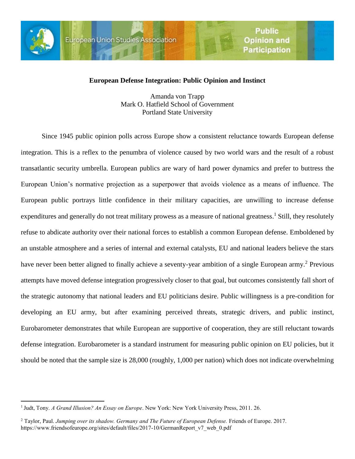

 $\overline{a}$ 

## **European Defense Integration: Public Opinion and Instinct**

Amanda von Trapp Mark O. Hatfield School of Government Portland State University

Since 1945 public opinion polls across Europe show a consistent reluctance towards European defense integration. This is a reflex to the penumbra of violence caused by two world wars and the result of a robust transatlantic security umbrella. European publics are wary of hard power dynamics and prefer to buttress the European Union's normative projection as a superpower that avoids violence as a means of influence. The European public portrays little confidence in their military capacities, are unwilling to increase defense expenditures and generally do not treat military prowess as a measure of national greatness.<sup>1</sup> Still, they resolutely refuse to abdicate authority over their national forces to establish a common European defense. Emboldened by an unstable atmosphere and a series of internal and external catalysts, EU and national leaders believe the stars have never been better aligned to finally achieve a seventy-year ambition of a single European army.<sup>2</sup> Previous attempts have moved defense integration progressively closer to that goal, but outcomes consistently fall short of the strategic autonomy that national leaders and EU politicians desire. Public willingness is a pre-condition for developing an EU army, but after examining perceived threats, strategic drivers, and public instinct, Eurobarometer demonstrates that while European are supportive of cooperation, they are still reluctant towards defense integration. Eurobarometer is a standard instrument for measuring public opinion on EU policies, but it should be noted that the sample size is 28,000 (roughly, 1,000 per nation) which does not indicate overwhelming

<sup>1</sup> Judt, Tony. *A Grand Illusion? An Essay on Europe*. New York: New York University Press, 2011. 26.

<sup>2</sup> Taylor, Paul. *Jumping over its shadow. Germany and The Future of European Defense.* Friends of Europe. 2017. https://www.friendsofeurope.org/sites/default/files/2017-10/GermanReport\_v7\_web\_0.pdf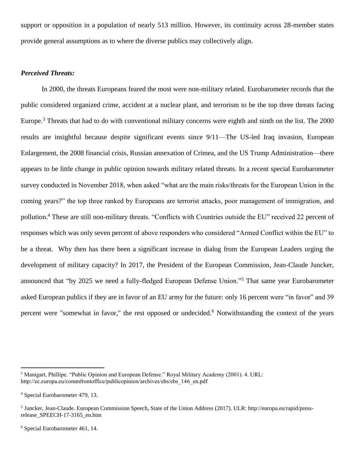support or opposition in a population of nearly 513 million. However, its continuity across 28-member states provide general assumptions as to where the diverse publics may collectively align.

#### *Perceived Threats:*

In 2000, the threats Europeans feared the most were non-military related. Eurobarometer records that the public considered organized crime, accident at a nuclear plant, and terrorism to be the top three threats facing Europe.<sup>3</sup> Threats that had to do with conventional military concerns were eighth and ninth on the list. The 2000 results are insightful because despite significant events since 9/11—The US-led Iraq invasion, European Enlargement, the 2008 financial crisis, Russian annexation of Crimea, and the US Trump Administration—there appears to be little change in public opinion towards military related threats. In a recent special Eurobarometer survey conducted in November 2018, when asked "what are the main risks/threats for the European Union in the coming years?" the top three ranked by Europeans are terrorist attacks, poor management of immigration, and pollution. <sup>4</sup> These are still non-military threats. "Conflicts with Countries outside the EU" received 22 percent of responses which was only seven percent of above responders who considered "Armed Conflict within the EU" to be a threat. Why then has there been a significant increase in dialog from the European Leaders urging the development of military capacity? In 2017, the President of the European Commission, Jean-Claude Juncker, announced that "by 2025 we need a fully-fledged European Defense Union."<sup>5</sup> That same year Eurobarometer asked European publics if they are in favor of an EU army for the future: only 16 percent were "in favor" and 39 percent were "somewhat in favor," the rest opposed or undecided.<sup>6</sup> Notwithstanding the context of the years

<sup>&</sup>lt;sup>3</sup> Manigart, Phillipe. "Public Opinion and European Defense." Royal Military Academy (2001). 4. URL: http://ec.europa.eu/commfrontoffice/publicopinion/archives/ebs/ebs\_146\_en.pdf

<sup>4</sup> Special Eurobarometer 479, 13.

<sup>&</sup>lt;sup>5</sup> Juncker, Jean-Claude. European Commission Speech, State of the Union Address (2017). ULR: http://europa.eu/rapid/pressrelease\_SPEECH-17-3165\_en.htm

<sup>6</sup> Special Eurobarometer 461, 14.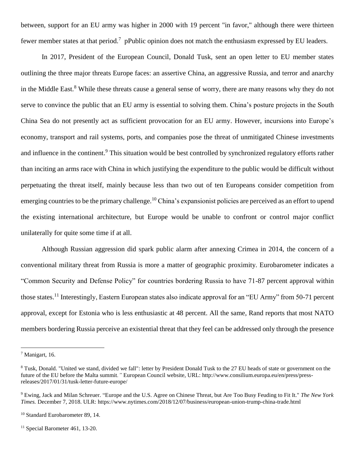between, support for an EU army was higher in 2000 with 19 percent "in favor," although there were thirteen fewer member states at that period.<sup>7</sup> pPublic opinion does not match the enthusiasm expressed by EU leaders.

In 2017, President of the European Council, Donald Tusk, sent an open letter to EU member states outlining the three major threats Europe faces: an assertive China, an aggressive Russia, and terror and anarchy in the Middle East.<sup>8</sup> While these threats cause a general sense of worry, there are many reasons why they do not serve to convince the public that an EU army is essential to solving them. China's posture projects in the South China Sea do not presently act as sufficient provocation for an EU army. However, incursions into Europe's economy, transport and rail systems, ports, and companies pose the threat of unmitigated Chinese investments and influence in the continent.<sup>9</sup> This situation would be best controlled by synchronized regulatory efforts rather than inciting an arms race with China in which justifying the expenditure to the public would be difficult without perpetuating the threat itself, mainly because less than two out of ten Europeans consider competition from emerging countries to be the primary challenge.<sup>10</sup> China's expansionist policies are perceived as an effort to upend the existing international architecture, but Europe would be unable to confront or control major conflict unilaterally for quite some time if at all.

Although Russian aggression did spark public alarm after annexing Crimea in 2014, the concern of a conventional military threat from Russia is more a matter of geographic proximity. Eurobarometer indicates a "Common Security and Defense Policy" for countries bordering Russia to have 71-87 percent approval within those states.<sup>11</sup> Interestingly, Eastern European states also indicate approval for an "EU Army" from 50-71 percent approval, except for Estonia who is less enthusiastic at 48 percent. All the same, Rand reports that most NATO members bordering Russia perceive an existential threat that they feel can be addressed only through the presence

 $<sup>7</sup>$  Manigart, 16.</sup>

<sup>&</sup>lt;sup>8</sup> Tusk, Donald. "United we stand, divided we fall": letter by President Donald Tusk to the 27 EU heads of state or government on the future of the EU before the Malta summit*."* European Council website, URL: http://www.consilium.europa.eu/en/press/pressreleases/2017/01/31/tusk-letter-future-europe/

<sup>9</sup> Ewing, Jack and Milan Schreuer. "Europe and the U.S. Agree on Chinese Threat, but Are Too Busy Feuding to Fit It." *The New York Times.* December 7, 2018. ULR: https://www.nytimes.com/2018/12/07/business/european-union-trump-china-trade.html

<sup>&</sup>lt;sup>10</sup> Standard Eurobarometer 89, 14.

 $11$  Special Barometer 461, 13-20.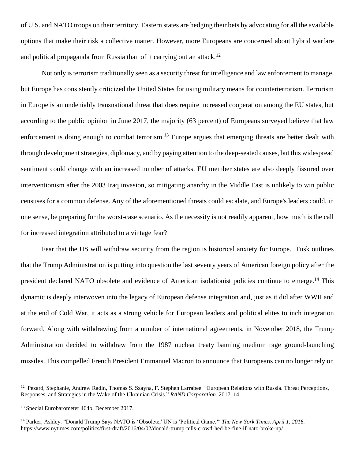of U.S. and NATO troops on their territory. Eastern states are hedging their bets by advocating for all the available options that make their risk a collective matter. However, more Europeans are concerned about hybrid warfare and political propaganda from Russia than of it carrying out an attack.<sup>12</sup>

Not only is terrorism traditionally seen as a security threat for intelligence and law enforcement to manage, but Europe has consistently criticized the United States for using military means for counterterrorism. Terrorism in Europe is an undeniably transnational threat that does require increased cooperation among the EU states, but according to the public opinion in June 2017, the majority (63 percent) of Europeans surveyed believe that law enforcement is doing enough to combat terrorism.<sup>13</sup> Europe argues that emerging threats are better dealt with through development strategies, diplomacy, and by paying attention to the deep-seated causes, but this widespread sentiment could change with an increased number of attacks. EU member states are also deeply fissured over interventionism after the 2003 Iraq invasion, so mitigating anarchy in the Middle East is unlikely to win public censuses for a common defense. Any of the aforementioned threats could escalate, and Europe's leaders could, in one sense, be preparing for the worst-case scenario. As the necessity is not readily apparent, how much is the call for increased integration attributed to a vintage fear?

Fear that the US will withdraw security from the region is historical anxiety for Europe. Tusk outlines that the Trump Administration is putting into question the last seventy years of American foreign policy after the president declared NATO obsolete and evidence of American isolationist policies continue to emerge.<sup>14</sup> This dynamic is deeply interwoven into the legacy of European defense integration and, just as it did after WWII and at the end of Cold War, it acts as a strong vehicle for European leaders and political elites to inch integration forward. Along with withdrawing from a number of international agreements, in November 2018, the Trump Administration decided to withdraw from the 1987 nuclear treaty banning medium rage ground-launching missiles. This compelled French President Emmanuel Macron to announce that Europeans can no longer rely on

<sup>&</sup>lt;sup>12</sup> Pezard, Stephanie, Andrew Radin, Thomas S. Szayna, F. Stephen Larrabee. "European Relations with Russia. Threat Perceptions, Responses, and Strategies in the Wake of the Ukrainian Crisis." *RAND Corporation.* 2017. 14.

<sup>13</sup> Special Eurobarometer 464b, December 2017.

<sup>14</sup> Parker, Ashley. "Donald Trump Says NATO is 'Obsolete,' UN is 'Political Game*.'" The New York Times. April 1, 2016.*  https://www.nytimes.com/politics/first-draft/2016/04/02/donald-trump-tells-crowd-hed-be-fine-if-nato-broke-up/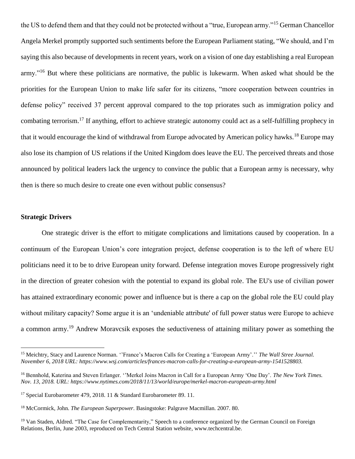the US to defend them and that they could not be protected without a "true, European army."<sup>15</sup> German Chancellor Angela Merkel promptly supported such sentiments before the European Parliament stating, "We should, and I'm saying this also because of developments in recent years, work on a vision of one day establishing a real European army."<sup>16</sup> But where these politicians are normative, the public is lukewarm. When asked what should be the priorities for the European Union to make life safer for its citizens, "more cooperation between countries in defense policy" received 37 percent approval compared to the top priorates such as immigration policy and combating terrorism.<sup>17</sup> If anything, effort to achieve strategic autonomy could act as a self-fulfilling prophecy in that it would encourage the kind of withdrawal from Europe advocated by American policy hawks.<sup>18</sup> Europe may also lose its champion of US relations if the United Kingdom does leave the EU. The perceived threats and those announced by political leaders lack the urgency to convince the public that a European army is necessary, why then is there so much desire to create one even without public consensus?

### **Strategic Drivers**

 $\overline{a}$ 

One strategic driver is the effort to mitigate complications and limitations caused by cooperation. In a continuum of the European Union's core integration project, defense cooperation is to the left of where EU politicians need it to be to drive European unity forward. Defense integration moves Europe progressively right in the direction of greater cohesion with the potential to expand its global role. The EU's use of civilian power has attained extraordinary economic power and influence but is there a cap on the global role the EU could play without military capacity? Some argue it is an 'undeniable attribute' of full power status were Europe to achieve a common army.<sup>19</sup> Andrew Moravcsik exposes the seductiveness of attaining military power as something the

<sup>15</sup> Meichtry, Stacy and Laurence Norman. ''France's Macron Calls for Creating a 'European Army'.'' *The Wall Stree Journal. November 6, 2018 URL: https://www.wsj.com/articles/frances-macron-calls-for-creating-a-european-army-1541528803.*

<sup>16</sup> Bennhold, Katerina and Steven Erlanger. ''Merkel Joins Macron in Call for a European Army 'One Day'. *The New York Times. Nov. 13, 2018. URL: https://www.nytimes.com/2018/11/13/world/europe/merkel-macron-european-army.html*

<sup>&</sup>lt;sup>17</sup> Special Eurobarometer 479, 2018. 11 & Standard Eurobarometer 89. 11.

<sup>18</sup> McCormick, John. *The European Superpower.* Basingstoke: Palgrave Macmillan. 2007. 80.

<sup>&</sup>lt;sup>19</sup> Van Staden, Aldred. "The Case for Complementarity," Speech to a conference organized by the German Council on Foreign Relations, Berlin, June 2003, reproduced on Tech Central Station website, www.techcentral.be.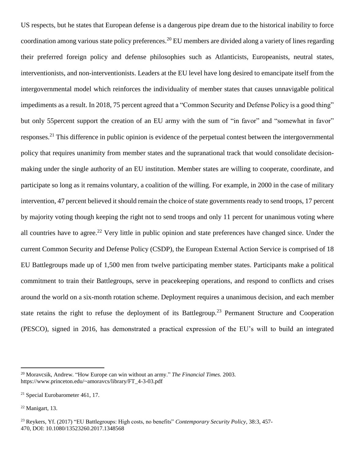US respects, but he states that European defense is a dangerous pipe dream due to the historical inability to force coordination among various state policy preferences.<sup>20</sup> EU members are divided along a variety of lines regarding their preferred foreign policy and defense philosophies such as Atlanticists, Europeanists, neutral states, interventionists, and non-interventionists. Leaders at the EU level have long desired to emancipate itself from the intergovernmental model which reinforces the individuality of member states that causes unnavigable political impediments as a result. In 2018, 75 percent agreed that a "Common Security and Defense Policy is a good thing" but only 55 percent support the creation of an EU army with the sum of "in favor" and "somewhat in favor" responses.<sup>21</sup> This difference in public opinion is evidence of the perpetual contest between the intergovernmental policy that requires unanimity from member states and the supranational track that would consolidate decisionmaking under the single authority of an EU institution. Member states are willing to cooperate, coordinate, and participate so long as it remains voluntary, a coalition of the willing. For example, in 2000 in the case of military intervention, 47 percent believed it should remain the choice of state governments ready to send troops, 17 percent by majority voting though keeping the right not to send troops and only 11 percent for unanimous voting where all countries have to agree.<sup>22</sup> Very little in public opinion and state preferences have changed since. Under the current Common Security and Defense Policy (CSDP), the European External Action Service is comprised of 18 EU Battlegroups made up of 1,500 men from twelve participating member states. Participants make a political commitment to train their Battlegroups, serve in peacekeeping operations, and respond to conflicts and crises around the world on a six-month rotation scheme. Deployment requires a unanimous decision, and each member state retains the right to refuse the deployment of its Battlegroup.<sup>23</sup> Permanent Structure and Cooperation (PESCO), signed in 2016, has demonstrated a practical expression of the EU's will to build an integrated

<sup>20</sup> Moravcsik, Andrew. "How Europe can win without an army." *The Financial Times.* 2003. https://www.princeton.edu/~amoravcs/library/FT\_4-3-03.pdf

<sup>21</sup> Special Eurobarometer 461, 17.

 $22$  Manigart, 13.

<sup>23</sup> Reykers, Yf. (2017) "EU Battlegroups: High costs, no benefits" *Contemporary Security Policy*, 38:3, 457- 470, DOI: 10.1080/13523260.2017.1348568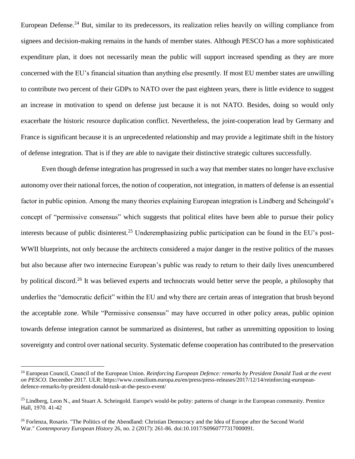European Defense.<sup>24</sup> But, similar to its predecessors, its realization relies heavily on willing compliance from signees and decision-making remains in the hands of member states. Although PESCO has a more sophisticated expenditure plan, it does not necessarily mean the public will support increased spending as they are more concerned with the EU's financial situation than anything else presently. If most EU member states are unwilling to contribute two percent of their GDPs to NATO over the past eighteen years, there is little evidence to suggest an increase in motivation to spend on defense just because it is not NATO. Besides, doing so would only exacerbate the historic resource duplication conflict. Nevertheless, the joint-cooperation lead by Germany and France is significant because it is an unprecedented relationship and may provide a legitimate shift in the history of defense integration. That is if they are able to navigate their distinctive strategic cultures successfully.

Even though defense integration has progressed in such a way that member states no longer have exclusive autonomy over their national forces, the notion of cooperation, not integration, in matters of defense is an essential factor in public opinion. Among the many theories explaining European integration is Lindberg and Scheingold's concept of "permissive consensus" which suggests that political elites have been able to pursue their policy interests because of public disinterest.<sup>25</sup> Underemphasizing public participation can be found in the EU's post-WWII blueprints, not only because the architects considered a major danger in the restive politics of the masses but also because after two internecine European's public was ready to return to their daily lives unencumbered by political discord.<sup>26</sup> It was believed experts and technocrats would better serve the people, a philosophy that underlies the "democratic deficit" within the EU and why there are certain areas of integration that brush beyond the acceptable zone. While "Permissive consensus" may have occurred in other policy areas, public opinion towards defense integration cannot be summarized as disinterest, but rather as unremitting opposition to losing sovereignty and control over national security. Systematic defense cooperation has contributed to the preservation

<sup>24</sup> European Council, Council of the European Union. *Reinforcing European Defence: remarks by President Donald Tusk at the event on PESCO.* December 2017. ULR: https://www.consilium.europa.eu/en/press/press-releases/2017/12/14/reinforcing-europeandefence-remarks-by-president-donald-tusk-at-the-pesco-event/

<sup>&</sup>lt;sup>25</sup> Lindberg, Leon N., and Stuart A. Scheingold. Europe's would-be polity: patterns of change in the European community. Prentice Hall, 1970. 41-42

<sup>&</sup>lt;sup>26</sup> Forlenza, Rosario. "The Politics of the Abendland: Christian Democracy and the Idea of Europe after the Second World War." *Contemporary European History* 26, no. 2 (2017): 261-86. doi:10.1017/S0960777317000091.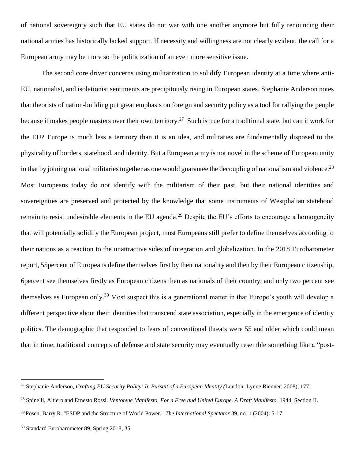of national sovereignty such that EU states do not war with one another anymore but fully renouncing their national armies has historically lacked support. If necessity and willingness are not clearly evident, the call for a European army may be more so the politicization of an even more sensitive issue.

The second core driver concerns using militarization to solidify European identity at a time where anti-EU, nationalist, and isolationist sentiments are precipitously rising in European states. Stephanie Anderson notes that theorists of nation-building put great emphasis on foreign and security policy as a tool for rallying the people because it makes people masters over their own territory.<sup>27</sup> Such is true for a traditional state, but can it work for the EU? Europe is much less a territory than it is an idea, and militaries are fundamentally disposed to the physicality of borders, statehood, and identity. But a European army is not novel in the scheme of European unity in that by joining national militaries together as one would guarantee the decoupling of nationalism and violence.<sup>28</sup> Most Europeans today do not identify with the militarism of their past, but their national identities and sovereignties are preserved and protected by the knowledge that some instruments of Westphalian statehood remain to resist undesirable elements in the EU agenda.<sup>29</sup> Despite the EU's efforts to encourage a homogeneity that will potentially solidify the European project, most Europeans still prefer to define themselves according to their nations as a reaction to the unattractive sides of integration and globalization. In the 2018 Eurobarometer report, 55percent of Europeans define themselves first by their nationality and then by their European citizenship, 6percent see themselves firstly as European citizens then as nationals of their country, and only two percent see themselves as European only.<sup>30</sup> Most suspect this is a generational matter in that Europe's youth will develop a different perspective about their identities that transcend state association, especially in the emergence of identity politics. The demographic that responded to fears of conventional threats were 55 and older which could mean that in time, traditional concepts of defense and state security may eventually resemble something like a "post-

<sup>28</sup> Spinelli, Altiero and Ernesto Rossi. *Ventotene Manifesto, For a Free and United Europe. A Draft Manifesto.* 1944. Section II.

<sup>27</sup> Stephanie Anderson, *Crafting EU Security Policy: In Pursuit of a European Identity (*London: Lynne Rienner. 2008), 177.

<sup>29</sup> Posen, Barry R. "ESDP and the Structure of World Power." *The International Spectator* 39, no. 1 (2004): 5-17.

<sup>&</sup>lt;sup>30</sup> Standard Eurobarometer 89, Spring 2018, 35.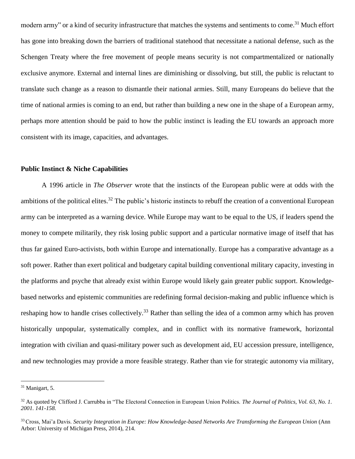modern army" or a kind of security infrastructure that matches the systems and sentiments to come.<sup>31</sup> Much effort has gone into breaking down the barriers of traditional statehood that necessitate a national defense, such as the Schengen Treaty where the free movement of people means security is not compartmentalized or nationally exclusive anymore. External and internal lines are diminishing or dissolving, but still, the public is reluctant to translate such change as a reason to dismantle their national armies. Still, many Europeans do believe that the time of national armies is coming to an end, but rather than building a new one in the shape of a European army, perhaps more attention should be paid to how the public instinct is leading the EU towards an approach more consistent with its image, capacities, and advantages.

### **Public Instinct & Niche Capabilities**

A 1996 article in *The Observer* wrote that the instincts of the European public were at odds with the ambitions of the political elites.<sup>32</sup> The public's historic instincts to rebuff the creation of a conventional European army can be interpreted as a warning device. While Europe may want to be equal to the US, if leaders spend the money to compete militarily, they risk losing public support and a particular normative image of itself that has thus far gained Euro-activists, both within Europe and internationally. Europe has a comparative advantage as a soft power. Rather than exert political and budgetary capital building conventional military capacity, investing in the platforms and psyche that already exist within Europe would likely gain greater public support. Knowledgebased networks and epistemic communities are redefining formal decision-making and public influence which is reshaping how to handle crises collectively.<sup>33</sup> Rather than selling the idea of a common army which has proven historically unpopular, systematically complex, and in conflict with its normative framework, horizontal integration with civilian and quasi-military power such as development aid, EU accession pressure, intelligence, and new technologies may provide a more feasible strategy. Rather than vie for strategic autonomy via military,

 $31$  Manigart, 5.

<sup>&</sup>lt;sup>32</sup> As quoted by Clifford J. Carrubba in "The Electoral Connection in European Union Politics. *The Journal of Politics*, *Vol. 63, No. 1*. *2001. 141-158.* 

<sup>33</sup> Cross, Mai'a Davis. *Security Integration in Europe: How Knowledge-based Networks Are Transforming the European Union* (Ann Arbor: University of Michigan Press, 2014), 214.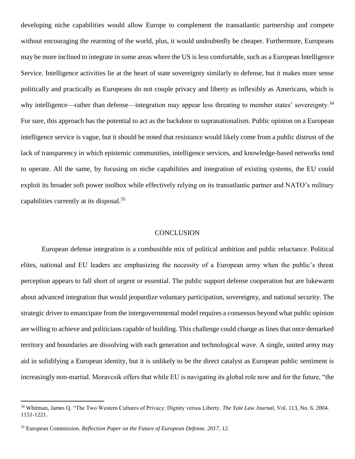developing niche capabilities would allow Europe to complement the transatlantic partnership and compete without encouraging the rearming of the world, plus, it would undoubtedly be cheaper. Furthermore, Europeans may be more inclined to integrate in some areas where the US is less comfortable, such as a European Intelligence Service. Intelligence activities lie at the heart of state sovereignty similarly to defense, but it makes more sense politically and practically as Europeans do not couple privacy and liberty as inflexibly as Americans, which is why intelligence—rather than defense—integration may appear less threating to member states' sovereignty.<sup>34</sup> For sure, this approach has the potential to act as the backdoor to supranationalism. Public opinion on a European intelligence service is vague, but it should be noted that resistance would likely come from a public distrust of the lack of transparency in which epistemic communities, intelligence services, and knowledge-based networks tend to operate. All the same, by focusing on niche capabilities and integration of existing systems, the EU could exploit its broader soft power toolbox while effectively relying on its transatlantic partner and NATO's military capabilities currently at its disposal.<sup>35</sup>

#### **CONCLUSION**

European defense integration is a combustible mix of political ambition and public reluctance. Political elites, national and EU leaders are emphasizing the necessity of a European army when the public's threat perception appears to fall short of urgent or essential. The public support defense cooperation but are lukewarm about advanced integration that would jeopardize voluntary participation, sovereignty, and national security. The strategic driver to emancipate from the intergovernmental model requires a consensus beyond what public opinion are willing to achieve and politicians capable of building. This challenge could change as lines that once demarked territory and boundaries are dissolving with each generation and technological wave. A single, united army may aid in solidifying a European identity, but it is unlikely to be the direct catalyst as European public sentiment is increasingly non-martial. Moravcsik offers that while EU is navigating its global role now and for the future, "the

<sup>34</sup> Whitman, James Q. "The Two Western Cultures of Privacy: Dignity versus Liberty. *The Yale Law Journal,* Vol. 113, No. 6. 2004. 1151-1221.

<sup>35</sup> European Commission. *Reflection Paper on the Future of European Defense. 2017, 12.*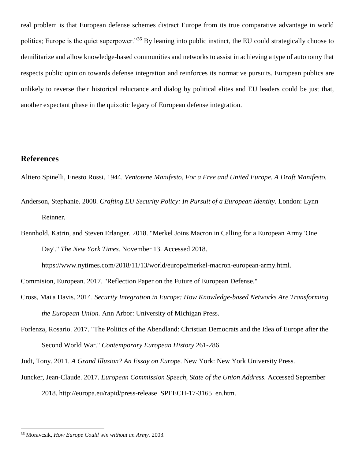real problem is that European defense schemes distract Europe from its true comparative advantage in world politics; Europe is the quiet superpower."<sup>36</sup> By leaning into public instinct, the EU could strategically choose to demilitarize and allow knowledge-based communities and networks to assist in achieving a type of autonomy that respects public opinion towards defense integration and reinforces its normative pursuits. European publics are unlikely to reverse their historical reluctance and dialog by political elites and EU leaders could be just that, another expectant phase in the quixotic legacy of European defense integration.

# **References**

 $\overline{a}$ 

Altiero Spinelli, Enesto Rossi. 1944. *Ventotene Manifesto, For a Free and United Europe. A Draft Manifesto.*

Anderson, Stephanie. 2008. *Crafting EU Security Policy: In Pursuit of a European Identity.* London: Lynn Reinner.

Bennhold, Katrin, and Steven Erlanger. 2018. "Merkel Joins Macron in Calling for a European Army 'One Day'." *The New York Times.* November 13. Accessed 2018.

https://www.nytimes.com/2018/11/13/world/europe/merkel-macron-european-army.html.

Commision, European. 2017. "Reflection Paper on the Future of European Defense."

- Cross, Mai'a Davis. 2014. *Security Integration in Europe: How Knowledge-based Networks Are Transforming the European Union.* Ann Arbor: University of Michigan Press.
- Forlenza, Rosario. 2017. "The Politics of the Abendland: Christian Democrats and the Idea of Europe after the Second World War." *Contemporary European History* 261-286.

Judt, Tony. 2011. *A Grand Illusion? An Essay on Europe.* New York: New York University Press.

Juncker, Jean-Claude. 2017. *European Commission Speech, State of the Union Address.* Accessed September 2018. http://europa.eu/rapid/press-release\_SPEECH-17-3165\_en.htm.

<sup>36</sup> Moravcsik, *How Europe Could win without an Army.* 2003.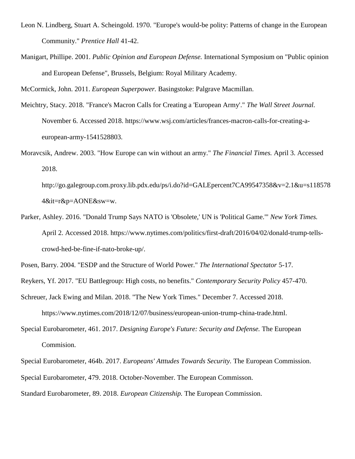- Leon N. Lindberg, Stuart A. Scheingold. 1970. "Europe's would-be polity: Patterns of change in the European Community." *Prentice Hall* 41-42.
- Manigart, Phillipe. 2001. *Public Opinion and European Defense.* International Symposium on "Public opinion and European Defense", Brussels, Belgium: Royal Military Academy.

McCormick, John. 2011. *European Superpower.* Basingstoke: Palgrave Macmillan.

- Meichtry, Stacy. 2018. "France's Macron Calls for Creating a 'European Army'." *The Wall Street Journal.* November 6. Accessed 2018. https://www.wsj.com/articles/frances-macron-calls-for-creating-aeuropean-army-1541528803.
- Moravcsik, Andrew. 2003. "How Europe can win without an army." *The Financial Times.* April 3. Accessed 2018.

http://go.galegroup.com.proxy.lib.pdx.edu/ps/i.do?id=GALEpercent7CA99547358&v=2.1&u=s118578 4&it=r&p=AONE&sw=w.

Parker, Ashley. 2016. "Donald Trump Says NATO is 'Obsolete,' UN is 'Political Game.'" *New York Times.* April 2. Accessed 2018. https://www.nytimes.com/politics/first-draft/2016/04/02/donald-trump-tellscrowd-hed-be-fine-if-nato-broke-up/.

Posen, Barry. 2004. "ESDP and the Structure of World Power." *The International Spectator* 5-17.

Reykers, Yf. 2017. "EU Battlegroup: High costs, no benefits." *Contemporary Security Policy* 457-470.

Schreuer, Jack Ewing and Milan. 2018. "The New York Times." December 7. Accessed 2018.

https://www.nytimes.com/2018/12/07/business/european-union-trump-china-trade.html.

Special Eurobarometer, 461. 2017. *Designing Europe's Future: Security and Defense.* The European Commision.

Special Eurobarometer, 464b. 2017. *Europeans' Atttudes Towards Security.* The European Commission.

Special Eurobarometer, 479. 2018. October-November. The European Commisson.

Standard Eurobarometer, 89. 2018. *European Citizenship.* The European Commission.